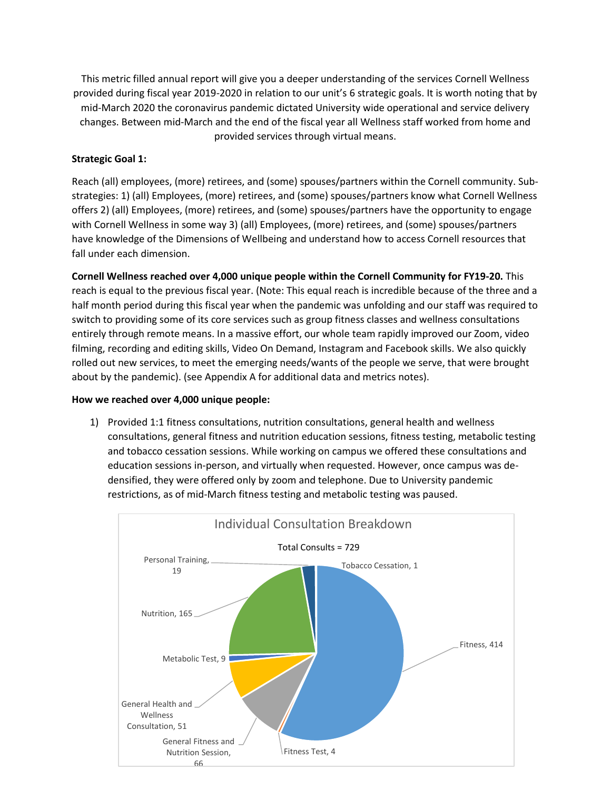This metric filled annual report will give you a deeper understanding of the services Cornell Wellness provided during fiscal year 2019-2020 in relation to our unit's 6 strategic goals. It is worth noting that by mid-March 2020 the coronavirus pandemic dictated University wide operational and service delivery changes. Between mid-March and the end of the fiscal year all Wellness staff worked from home and provided services through virtual means.

# **Strategic Goal 1:**

Reach (all) employees, (more) retirees, and (some) spouses/partners within the Cornell community. Substrategies: 1) (all) Employees, (more) retirees, and (some) spouses/partners know what Cornell Wellness offers 2) (all) Employees, (more) retirees, and (some) spouses/partners have the opportunity to engage with Cornell Wellness in some way 3) (all) Employees, (more) retirees, and (some) spouses/partners have knowledge of the Dimensions of Wellbeing and understand how to access Cornell resources that fall under each dimension.

**Cornell Wellness reached over 4,000 unique people within the Cornell Community for FY19-20.** This reach is equal to the previous fiscal year. (Note: This equal reach is incredible because of the three and a half month period during this fiscal year when the pandemic was unfolding and our staff was required to switch to providing some of its core services such as group fitness classes and wellness consultations entirely through remote means. In a massive effort, our whole team rapidly improved our Zoom, video filming, recording and editing skills, Video On Demand, Instagram and Facebook skills. We also quickly rolled out new services, to meet the emerging needs/wants of the people we serve, that were brought about by the pandemic). (see Appendix A for additional data and metrics notes).

## **How we reached over 4,000 unique people:**

1) Provided 1:1 fitness consultations, nutrition consultations, general health and wellness consultations, general fitness and nutrition education sessions, fitness testing, metabolic testing and tobacco cessation sessions. While working on campus we offered these consultations and education sessions in-person, and virtually when requested. However, once campus was dedensified, they were offered only by zoom and telephone. Due to University pandemic restrictions, as of mid-March fitness testing and metabolic testing was paused.

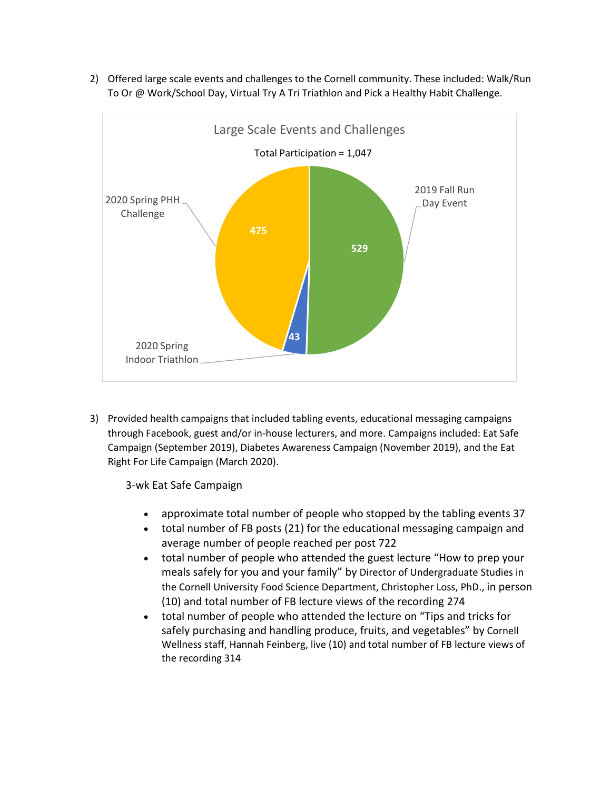2) Offered large scale events and challenges to the Cornell community. These included: Walk/Run To Or @ Work/School Day, Virtual Try A Tri Triathlon and Pick a Healthy Habit Challenge.



3) Provided health campaigns that included tabling events, educational messaging campaigns through Facebook, guest and/or in-house lecturers, and more. Campaigns included: Eat Safe Campaign (September 2019), Diabetes Awareness Campaign (November 2019), and the Eat Right For Life Campaign (March 2020).

3-wk Eat Safe Campaign

- approximate total number of people who stopped by the tabling events 37
- total number of FB posts (21) for the educational messaging campaign and average number of people reached per post 722
- total number of people who attended the guest lecture "How to prep your meals safely for you and your family" by Director of Undergraduate Studies in the Cornell University Food Science Department, Christopher Loss, PhD., in person (10) and total number of FB lecture views of the recording 274
- total number of people who attended the lecture on "Tips and tricks for safely purchasing and handling produce, fruits, and vegetables" by Cornell Wellness staff, Hannah Feinberg, live (10) and total number of FB lecture views of the recording 314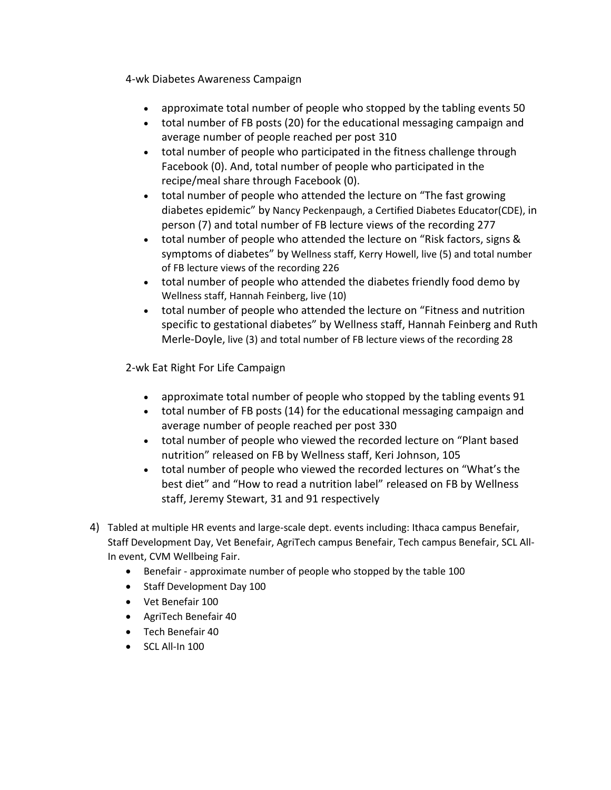4-wk Diabetes Awareness Campaign

- approximate total number of people who stopped by the tabling events 50
- total number of FB posts (20) for the educational messaging campaign and average number of people reached per post 310
- total number of people who participated in the fitness challenge through Facebook (0). And, total number of people who participated in the recipe/meal share through Facebook (0).
- total number of people who attended the lecture on "The fast growing diabetes epidemic" by Nancy Peckenpaugh, a Certified Diabetes Educator(CDE), in person (7) and total number of FB lecture views of the recording 277
- total number of people who attended the lecture on "Risk factors, signs & symptoms of diabetes" by Wellness staff, Kerry Howell, live (5) and total number of FB lecture views of the recording 226
- total number of people who attended the diabetes friendly food demo by Wellness staff, Hannah Feinberg, live (10)
- total number of people who attended the lecture on "Fitness and nutrition specific to gestational diabetes" by Wellness staff, Hannah Feinberg and Ruth Merle-Doyle, live (3) and total number of FB lecture views of the recording 28

2-wk Eat Right For Life Campaign

- approximate total number of people who stopped by the tabling events 91
- total number of FB posts (14) for the educational messaging campaign and average number of people reached per post 330
- total number of people who viewed the recorded lecture on "Plant based nutrition" released on FB by Wellness staff, Keri Johnson, 105
- total number of people who viewed the recorded lectures on "What's the best diet" and "How to read a nutrition label" released on FB by Wellness staff, Jeremy Stewart, 31 and 91 respectively
- 4) Tabled at multiple HR events and large-scale dept. events including: Ithaca campus Benefair, Staff Development Day, Vet Benefair, AgriTech campus Benefair, Tech campus Benefair, SCL All-In event, CVM Wellbeing Fair.
	- Benefair approximate number of people who stopped by the table 100
	- Staff Development Day 100
	- Vet Benefair 100
	- AgriTech Benefair 40
	- Tech Benefair 40
	- $\bullet$  SCL All-In 100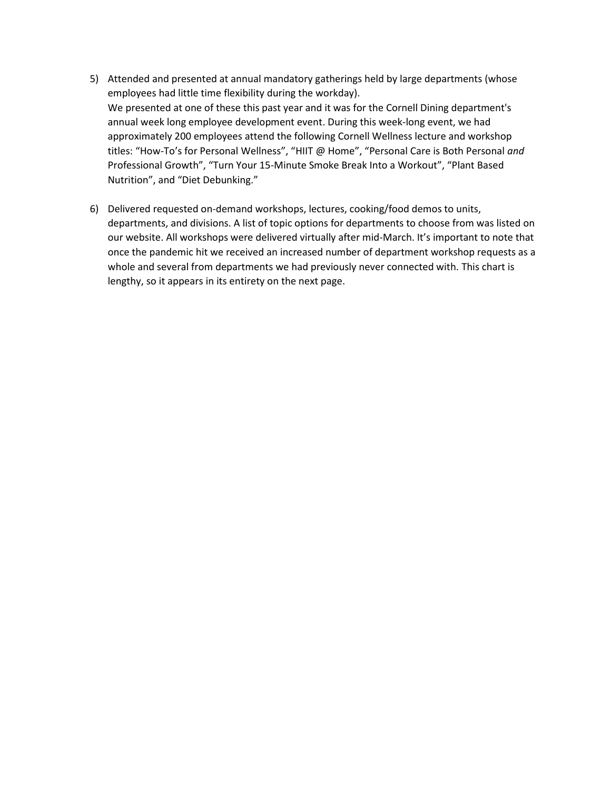- 5) Attended and presented at annual mandatory gatherings held by large departments (whose employees had little time flexibility during the workday). We presented at one of these this past year and it was for the Cornell Dining department's annual week long employee development event. During this week-long event, we had approximately 200 employees attend the following Cornell Wellness lecture and workshop titles: "How-To's for Personal Wellness", "HIIT @ Home", "Personal Care is Both Personal *and* Professional Growth", "Turn Your 15-Minute Smoke Break Into a Workout", "Plant Based Nutrition", and "Diet Debunking."
- 6) Delivered requested on-demand workshops, lectures, cooking/food demos to units, departments, and divisions. A list of topic options for departments to choose from was listed on our website. All workshops were delivered virtually after mid-March. It's important to note that once the pandemic hit we received an increased number of department workshop requests as a whole and several from departments we had previously never connected with. This chart is lengthy, so it appears in its entirety on the next page.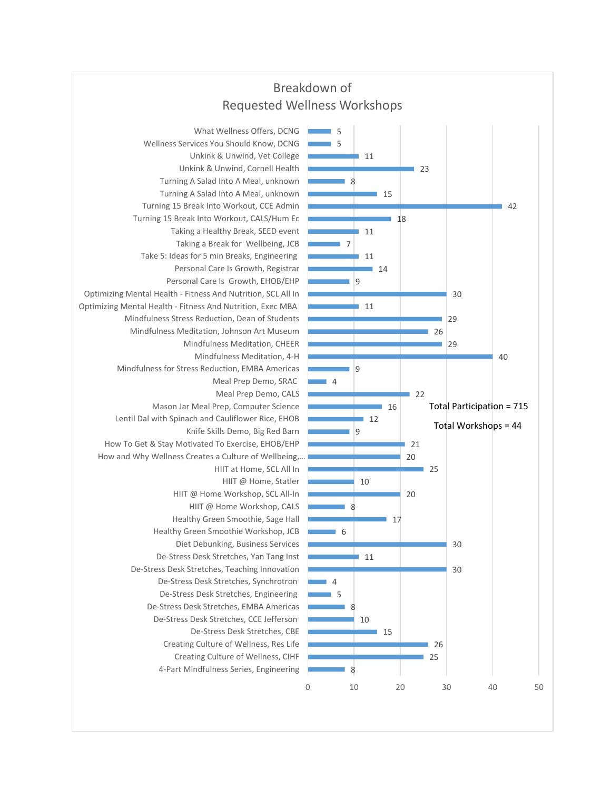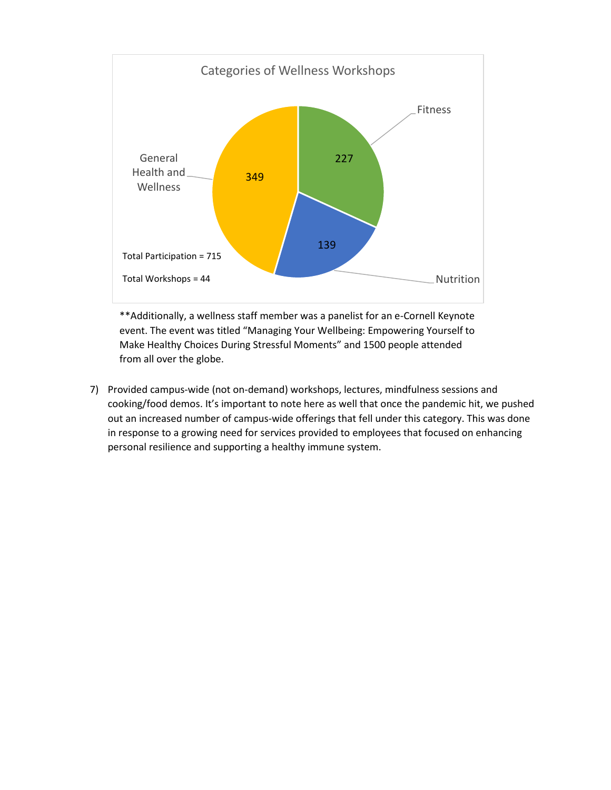

\*\*Additionally, a wellness staff member was a panelist for an e-Cornell Keynote event. The event was titled "Managing Your Wellbeing: Empowering Yourself to Make Healthy Choices During Stressful Moments" and 1500 people attended from all over the globe.

7) Provided campus-wide (not on-demand) workshops, lectures, mindfulness sessions and cooking/food demos. It's important to note here as well that once the pandemic hit, we pushed out an increased number of campus-wide offerings that fell under this category. This was done in response to a growing need for services provided to employees that focused on enhancing personal resilience and supporting a healthy immune system.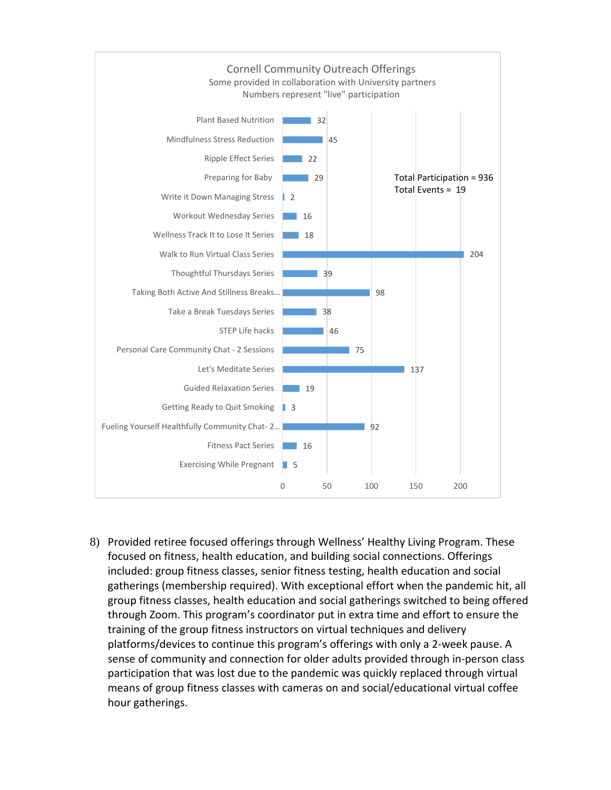

8) Provided retiree focused offerings through Wellness' Healthy Living Program. These focused on fitness, health education, and building social connections. Offerings included: group fitness classes, senior fitness testing, health education and social gatherings (membership required). With exceptional effort when the pandemic hit, all group fitness classes, health education and social gatherings switched to being offered through Zoom. This program's coordinator put in extra time and effort to ensure the training of the group fitness instructors on virtual techniques and delivery platforms/devices to continue this program's offerings with only a 2-week pause. A sense of community and connection for older adults provided through in-person class participation that was lost due to the pandemic was quickly replaced through virtual means of group fitness classes with cameras on and social/educational virtual coffee hour gatherings.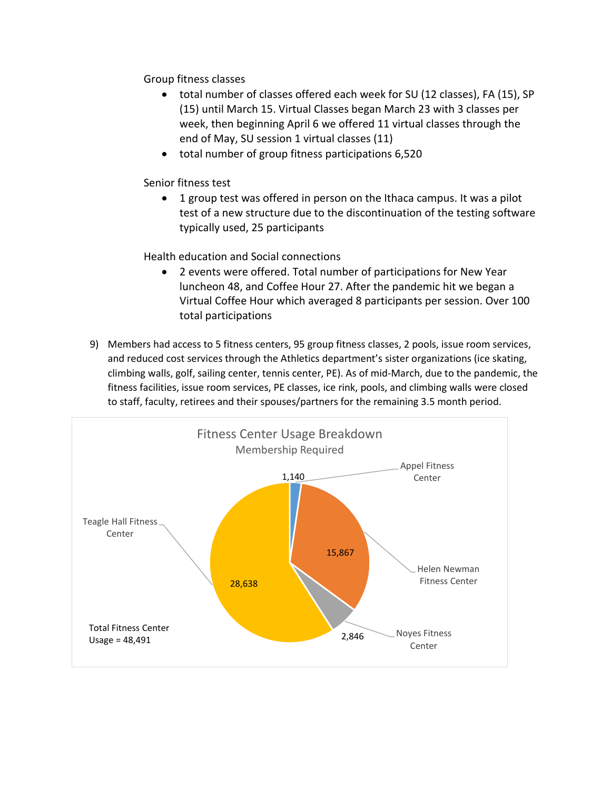Group fitness classes

- total number of classes offered each week for SU (12 classes), FA (15), SP (15) until March 15. Virtual Classes began March 23 with 3 classes per week, then beginning April 6 we offered 11 virtual classes through the end of May, SU session 1 virtual classes (11)
- total number of group fitness participations 6,520

Senior fitness test

 1 group test was offered in person on the Ithaca campus. It was a pilot test of a new structure due to the discontinuation of the testing software typically used, 25 participants

Health education and Social connections

- 2 events were offered. Total number of participations for New Year luncheon 48, and Coffee Hour 27. After the pandemic hit we began a Virtual Coffee Hour which averaged 8 participants per session. Over 100 total participations
- 9) Members had access to 5 fitness centers, 95 group fitness classes, 2 pools, issue room services, and reduced cost services through the Athletics department's sister organizations (ice skating, climbing walls, golf, sailing center, tennis center, PE). As of mid-March, due to the pandemic, the fitness facilities, issue room services, PE classes, ice rink, pools, and climbing walls were closed to staff, faculty, retirees and their spouses/partners for the remaining 3.5 month period.

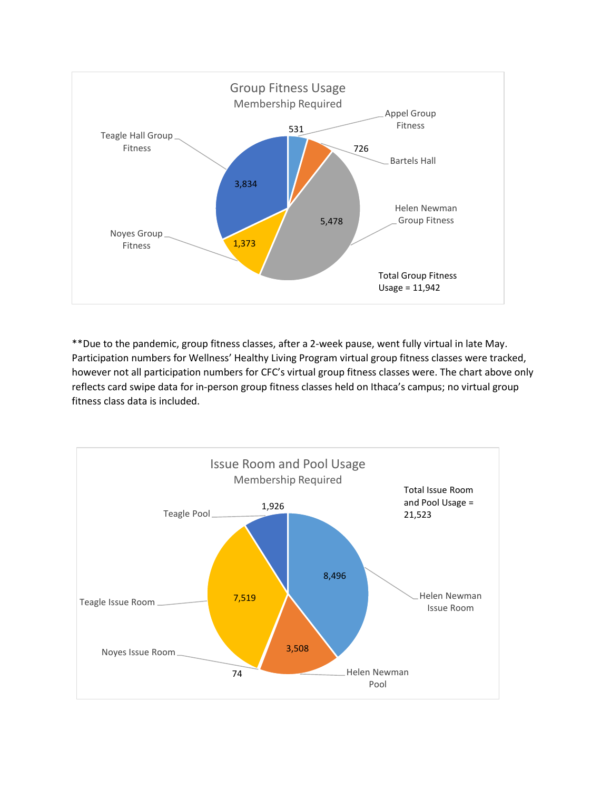

\*\*Due to the pandemic, group fitness classes, after a 2-week pause, went fully virtual in late May. Participation numbers for Wellness' Healthy Living Program virtual group fitness classes were tracked, however not all participation numbers for CFC's virtual group fitness classes were. The chart above only reflects card swipe data for in-person group fitness classes held on Ithaca's campus; no virtual group fitness class data is included.

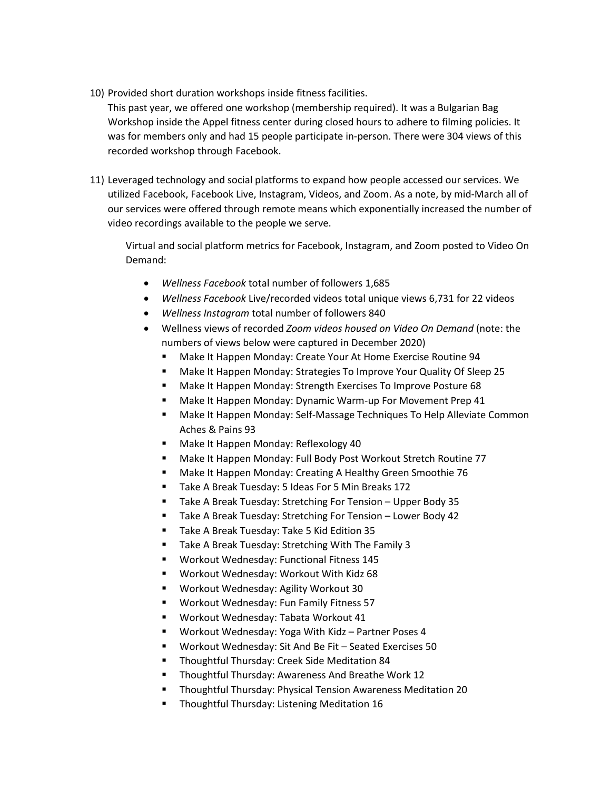10) Provided short duration workshops inside fitness facilities.

This past year, we offered one workshop (membership required). It was a Bulgarian Bag Workshop inside the Appel fitness center during closed hours to adhere to filming policies. It was for members only and had 15 people participate in-person. There were 304 views of this recorded workshop through Facebook.

11) Leveraged technology and social platforms to expand how people accessed our services. We utilized Facebook, Facebook Live, Instagram, Videos, and Zoom. As a note, by mid-March all of our services were offered through remote means which exponentially increased the number of video recordings available to the people we serve.

Virtual and social platform metrics for Facebook, Instagram, and Zoom posted to Video On Demand:

- *Wellness Facebook* total number of followers 1,685
- *Wellness Facebook* Live/recorded videos total unique views 6,731 for 22 videos
- *Wellness Instagram* total number of followers 840
- Wellness views of recorded *Zoom videos housed on Video On Demand* (note: the numbers of views below were captured in December 2020)
	- **Make It Happen Monday: Create Your At Home Exercise Routine 94**
	- Make It Happen Monday: Strategies To Improve Your Quality Of Sleep 25
	- **Make It Happen Monday: Strength Exercises To Improve Posture 68**
	- **Make It Happen Monday: Dynamic Warm-up For Movement Prep 41**
	- Make It Happen Monday: Self-Massage Techniques To Help Alleviate Common Aches & Pains 93
	- **Make It Happen Monday: Reflexology 40**
	- Make It Happen Monday: Full Body Post Workout Stretch Routine 77
	- **Make It Happen Monday: Creating A Healthy Green Smoothie 76**
	- Take A Break Tuesday: 5 Ideas For 5 Min Breaks 172
	- Take A Break Tuesday: Stretching For Tension Upper Body 35
	- Take A Break Tuesday: Stretching For Tension Lower Body 42
	- **Take A Break Tuesday: Take 5 Kid Edition 35**
	- **Take A Break Tuesday: Stretching With The Family 3**
	- Workout Wednesday: Functional Fitness 145
	- Workout Wednesday: Workout With Kidz 68
	- Workout Wednesday: Agility Workout 30
	- **Workout Wednesday: Fun Family Fitness 57**
	- Workout Wednesday: Tabata Workout 41
	- Workout Wednesday: Yoga With Kidz Partner Poses 4
	- Workout Wednesday: Sit And Be Fit Seated Exercises 50
	- **Thoughtful Thursday: Creek Side Meditation 84**
	- **Thoughtful Thursday: Awareness And Breathe Work 12**
	- **Thoughtful Thursday: Physical Tension Awareness Meditation 20**
	- **Thoughtful Thursday: Listening Meditation 16**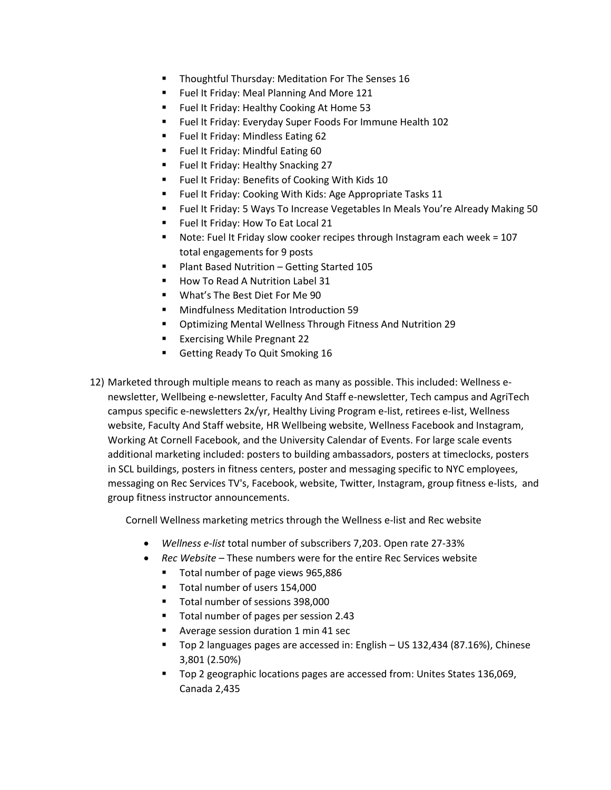- Thoughtful Thursday: Meditation For The Senses 16
- **Fuel It Friday: Meal Planning And More 121**
- **FILE IT FRIMEL IS A FIGURE 11 FIGURE 11** Fuel It Friday: Healthy Cooking At Home 53
- Fuel It Friday: Everyday Super Foods For Immune Health 102
- **Fuel It Friday: Mindless Eating 62**
- **Fuel It Friday: Mindful Eating 60**
- **Fuel It Friday: Healthy Snacking 27**
- Fuel It Friday: Benefits of Cooking With Kids 10
- **F** Fuel It Friday: Cooking With Kids: Age Appropriate Tasks 11
- Fuel It Friday: 5 Ways To Increase Vegetables In Meals You're Already Making 50
- **FIGM** Fuel It Friday: How To Eat Local 21
- Note: Fuel It Friday slow cooker recipes through Instagram each week = 107 total engagements for 9 posts
- Plant Based Nutrition Getting Started 105
- How To Read A Nutrition Label 31
- What's The Best Diet For Me 90
- Mindfulness Meditation Introduction 59
- Optimizing Mental Wellness Through Fitness And Nutrition 29
- Exercising While Pregnant 22
- Getting Ready To Quit Smoking 16
- 12) Marketed through multiple means to reach as many as possible. This included: Wellness enewsletter, Wellbeing e-newsletter, Faculty And Staff e-newsletter, Tech campus and AgriTech campus specific e-newsletters 2x/yr, Healthy Living Program e-list, retirees e-list, Wellness website, Faculty And Staff website, HR Wellbeing website, Wellness Facebook and Instagram, Working At Cornell Facebook, and the University Calendar of Events. For large scale events additional marketing included: posters to building ambassadors, posters at timeclocks, posters in SCL buildings, posters in fitness centers, poster and messaging specific to NYC employees, messaging on Rec Services TV's, Facebook, website, Twitter, Instagram, group fitness e-lists, and group fitness instructor announcements.

Cornell Wellness marketing metrics through the Wellness e-list and Rec website

- *Wellness e-list* total number of subscribers 7,203. Open rate 27-33%
- *Rec Website* These numbers were for the entire Rec Services website
	- Total number of page views 965,886
	- Total number of users 154,000
	- Total number of sessions 398,000
	- Total number of pages per session 2.43
	- Average session duration 1 min 41 sec
	- Top 2 languages pages are accessed in: English US 132,434 (87.16%), Chinese 3,801 (2.50%)
	- Top 2 geographic locations pages are accessed from: Unites States 136,069, Canada 2,435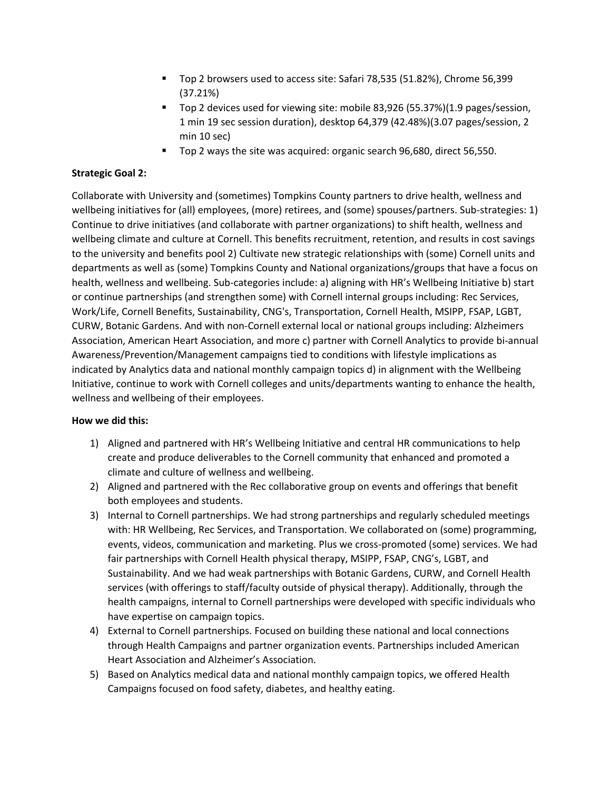- Top 2 browsers used to access site: Safari 78,535 (51.82%), Chrome 56,399 (37.21%)
- Top 2 devices used for viewing site: mobile 83,926 (55.37%)(1.9 pages/session, 1 min 19 sec session duration), desktop 64,379 (42.48%)(3.07 pages/session, 2 min 10 sec)
- Top 2 ways the site was acquired: organic search 96,680, direct 56,550.

## **Strategic Goal 2:**

Collaborate with University and (sometimes) Tompkins County partners to drive health, wellness and wellbeing initiatives for (all) employees, (more) retirees, and (some) spouses/partners. Sub-strategies: 1) Continue to drive initiatives (and collaborate with partner organizations) to shift health, wellness and wellbeing climate and culture at Cornell. This benefits recruitment, retention, and results in cost savings to the university and benefits pool 2) Cultivate new strategic relationships with (some) Cornell units and departments as well as (some) Tompkins County and National organizations/groups that have a focus on health, wellness and wellbeing. Sub-categories include: a) aligning with HR's Wellbeing Initiative b) start or continue partnerships (and strengthen some) with Cornell internal groups including: Rec Services, Work/Life, Cornell Benefits, Sustainability, CNG's, Transportation, Cornell Health, MSIPP, FSAP, LGBT, CURW, Botanic Gardens. And with non-Cornell external local or national groups including: Alzheimers Association, American Heart Association, and more c) partner with Cornell Analytics to provide bi-annual Awareness/Prevention/Management campaigns tied to conditions with lifestyle implications as indicated by Analytics data and national monthly campaign topics d) in alignment with the Wellbeing Initiative, continue to work with Cornell colleges and units/departments wanting to enhance the health, wellness and wellbeing of their employees.

## **How we did this:**

- 1) Aligned and partnered with HR's Wellbeing Initiative and central HR communications to help create and produce deliverables to the Cornell community that enhanced and promoted a climate and culture of wellness and wellbeing.
- 2) Aligned and partnered with the Rec collaborative group on events and offerings that benefit both employees and students.
- 3) Internal to Cornell partnerships. We had strong partnerships and regularly scheduled meetings with: HR Wellbeing, Rec Services, and Transportation. We collaborated on (some) programming, events, videos, communication and marketing. Plus we cross-promoted (some) services. We had fair partnerships with Cornell Health physical therapy, MSIPP, FSAP, CNG's, LGBT, and Sustainability. And we had weak partnerships with Botanic Gardens, CURW, and Cornell Health services (with offerings to staff/faculty outside of physical therapy). Additionally, through the health campaigns, internal to Cornell partnerships were developed with specific individuals who have expertise on campaign topics.
- 4) External to Cornell partnerships. Focused on building these national and local connections through Health Campaigns and partner organization events. Partnerships included American Heart Association and Alzheimer's Association.
- 5) Based on Analytics medical data and national monthly campaign topics, we offered Health Campaigns focused on food safety, diabetes, and healthy eating.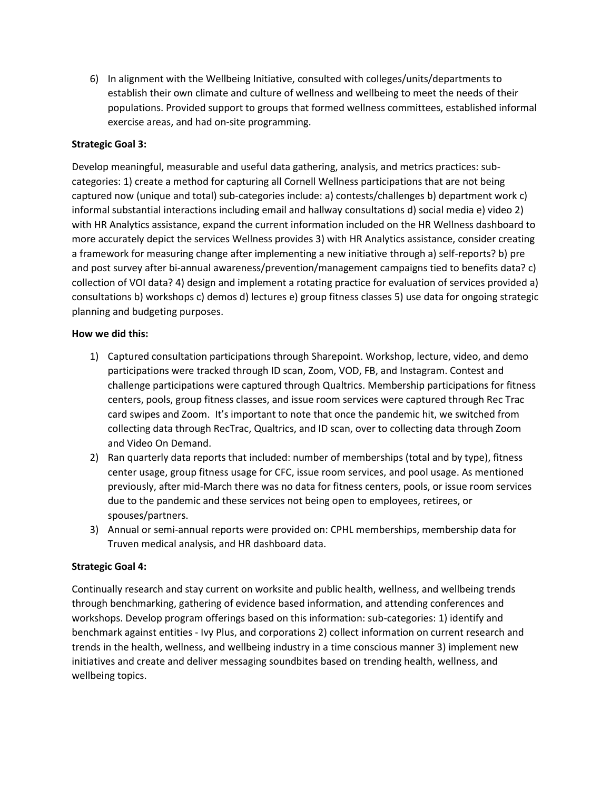6) In alignment with the Wellbeing Initiative, consulted with colleges/units/departments to establish their own climate and culture of wellness and wellbeing to meet the needs of their populations. Provided support to groups that formed wellness committees, established informal exercise areas, and had on-site programming.

## **Strategic Goal 3:**

Develop meaningful, measurable and useful data gathering, analysis, and metrics practices: subcategories: 1) create a method for capturing all Cornell Wellness participations that are not being captured now (unique and total) sub-categories include: a) contests/challenges b) department work c) informal substantial interactions including email and hallway consultations d) social media e) video 2) with HR Analytics assistance, expand the current information included on the HR Wellness dashboard to more accurately depict the services Wellness provides 3) with HR Analytics assistance, consider creating a framework for measuring change after implementing a new initiative through a) self-reports? b) pre and post survey after bi-annual awareness/prevention/management campaigns tied to benefits data? c) collection of VOI data? 4) design and implement a rotating practice for evaluation of services provided a) consultations b) workshops c) demos d) lectures e) group fitness classes 5) use data for ongoing strategic planning and budgeting purposes.

## **How we did this:**

- 1) Captured consultation participations through Sharepoint. Workshop, lecture, video, and demo participations were tracked through ID scan, Zoom, VOD, FB, and Instagram. Contest and challenge participations were captured through Qualtrics. Membership participations for fitness centers, pools, group fitness classes, and issue room services were captured through Rec Trac card swipes and Zoom. It's important to note that once the pandemic hit, we switched from collecting data through RecTrac, Qualtrics, and ID scan, over to collecting data through Zoom and Video On Demand.
- 2) Ran quarterly data reports that included: number of memberships (total and by type), fitness center usage, group fitness usage for CFC, issue room services, and pool usage. As mentioned previously, after mid-March there was no data for fitness centers, pools, or issue room services due to the pandemic and these services not being open to employees, retirees, or spouses/partners.
- 3) Annual or semi-annual reports were provided on: CPHL memberships, membership data for Truven medical analysis, and HR dashboard data.

## **Strategic Goal 4:**

Continually research and stay current on worksite and public health, wellness, and wellbeing trends through benchmarking, gathering of evidence based information, and attending conferences and workshops. Develop program offerings based on this information: sub-categories: 1) identify and benchmark against entities - Ivy Plus, and corporations 2) collect information on current research and trends in the health, wellness, and wellbeing industry in a time conscious manner 3) implement new initiatives and create and deliver messaging soundbites based on trending health, wellness, and wellbeing topics.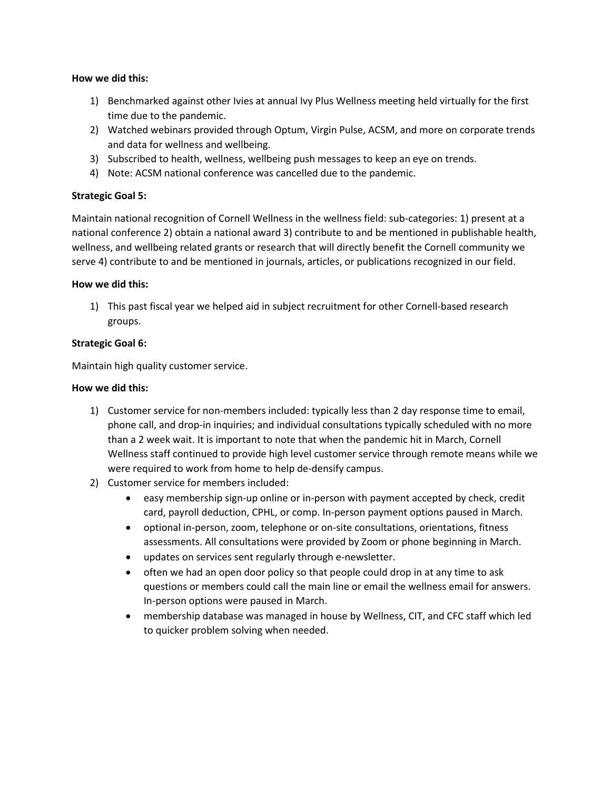#### **How we did this:**

- 1) Benchmarked against other Ivies at annual Ivy Plus Wellness meeting held virtually for the first time due to the pandemic.
- 2) Watched webinars provided through Optum, Virgin Pulse, ACSM, and more on corporate trends and data for wellness and wellbeing.
- 3) Subscribed to health, wellness, wellbeing push messages to keep an eye on trends.
- 4) Note: ACSM national conference was cancelled due to the pandemic.

## **Strategic Goal 5:**

Maintain national recognition of Cornell Wellness in the wellness field: sub-categories: 1) present at a national conference 2) obtain a national award 3) contribute to and be mentioned in publishable health, wellness, and wellbeing related grants or research that will directly benefit the Cornell community we serve 4) contribute to and be mentioned in journals, articles, or publications recognized in our field.

## **How we did this:**

1) This past fiscal year we helped aid in subject recruitment for other Cornell-based research groups.

## **Strategic Goal 6:**

Maintain high quality customer service.

## **How we did this:**

- 1) Customer service for non-members included: typically less than 2 day response time to email, phone call, and drop-in inquiries; and individual consultations typically scheduled with no more than a 2 week wait. It is important to note that when the pandemic hit in March, Cornell Wellness staff continued to provide high level customer service through remote means while we were required to work from home to help de-densify campus.
- 2) Customer service for members included:
	- easy membership sign-up online or in-person with payment accepted by check, credit card, payroll deduction, CPHL, or comp. In-person payment options paused in March.
	- optional in-person, zoom, telephone or on-site consultations, orientations, fitness assessments. All consultations were provided by Zoom or phone beginning in March.
	- updates on services sent regularly through e-newsletter.
	- often we had an open door policy so that people could drop in at any time to ask questions or members could call the main line or email the wellness email for answers. In-person options were paused in March.
	- membership database was managed in house by Wellness, CIT, and CFC staff which led to quicker problem solving when needed.